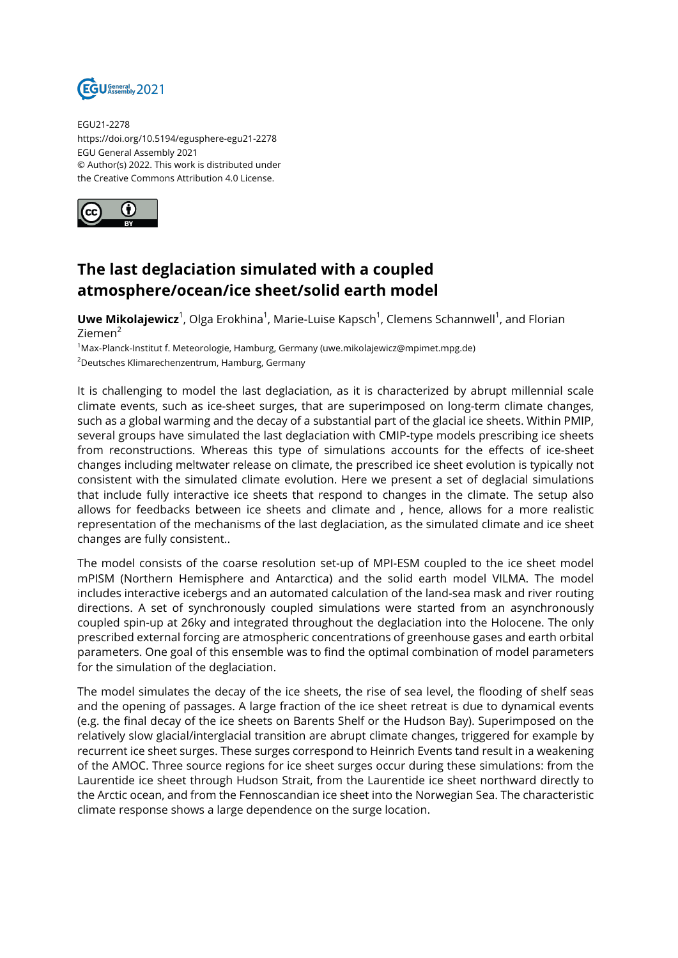

EGU21-2278 https://doi.org/10.5194/egusphere-egu21-2278 EGU General Assembly 2021 © Author(s) 2022. This work is distributed under the Creative Commons Attribution 4.0 License.



## **The last deglaciation simulated with a coupled atmosphere/ocean/ice sheet/solid earth model**

**Uwe Mikolajewicz**<sup>1</sup>, Olga Erokhina<sup>1</sup>, Marie-Luise Kapsch<sup>1</sup>, Clemens Schannwell<sup>1</sup>, and Florian Ziemen<sup>2</sup>

<sup>1</sup>Max-Planck-Institut f. Meteorologie, Hamburg, Germany (uwe.mikolajewicz@mpimet.mpg.de) <sup>2</sup>Deutsches Klimarechenzentrum, Hamburg, Germany

It is challenging to model the last deglaciation, as it is characterized by abrupt millennial scale climate events, such as ice-sheet surges, that are superimposed on long-term climate changes, such as a global warming and the decay of a substantial part of the glacial ice sheets. Within PMIP, several groups have simulated the last deglaciation with CMIP-type models prescribing ice sheets from reconstructions. Whereas this type of simulations accounts for the effects of ice-sheet changes including meltwater release on climate, the prescribed ice sheet evolution is typically not consistent with the simulated climate evolution. Here we present a set of deglacial simulations that include fully interactive ice sheets that respond to changes in the climate. The setup also allows for feedbacks between ice sheets and climate and , hence, allows for a more realistic representation of the mechanisms of the last deglaciation, as the simulated climate and ice sheet changes are fully consistent..

The model consists of the coarse resolution set-up of MPI-ESM coupled to the ice sheet model mPISM (Northern Hemisphere and Antarctica) and the solid earth model VILMA. The model includes interactive icebergs and an automated calculation of the land-sea mask and river routing directions. A set of synchronously coupled simulations were started from an asynchronously coupled spin-up at 26ky and integrated throughout the deglaciation into the Holocene. The only prescribed external forcing are atmospheric concentrations of greenhouse gases and earth orbital parameters. One goal of this ensemble was to find the optimal combination of model parameters for the simulation of the deglaciation.

The model simulates the decay of the ice sheets, the rise of sea level, the flooding of shelf seas and the opening of passages. A large fraction of the ice sheet retreat is due to dynamical events (e.g. the final decay of the ice sheets on Barents Shelf or the Hudson Bay). Superimposed on the relatively slow glacial/interglacial transition are abrupt climate changes, triggered for example by recurrent ice sheet surges. These surges correspond to Heinrich Events tand result in a weakening of the AMOC. Three source regions for ice sheet surges occur during these simulations: from the Laurentide ice sheet through Hudson Strait, from the Laurentide ice sheet northward directly to the Arctic ocean, and from the Fennoscandian ice sheet into the Norwegian Sea. The characteristic climate response shows a large dependence on the surge location.